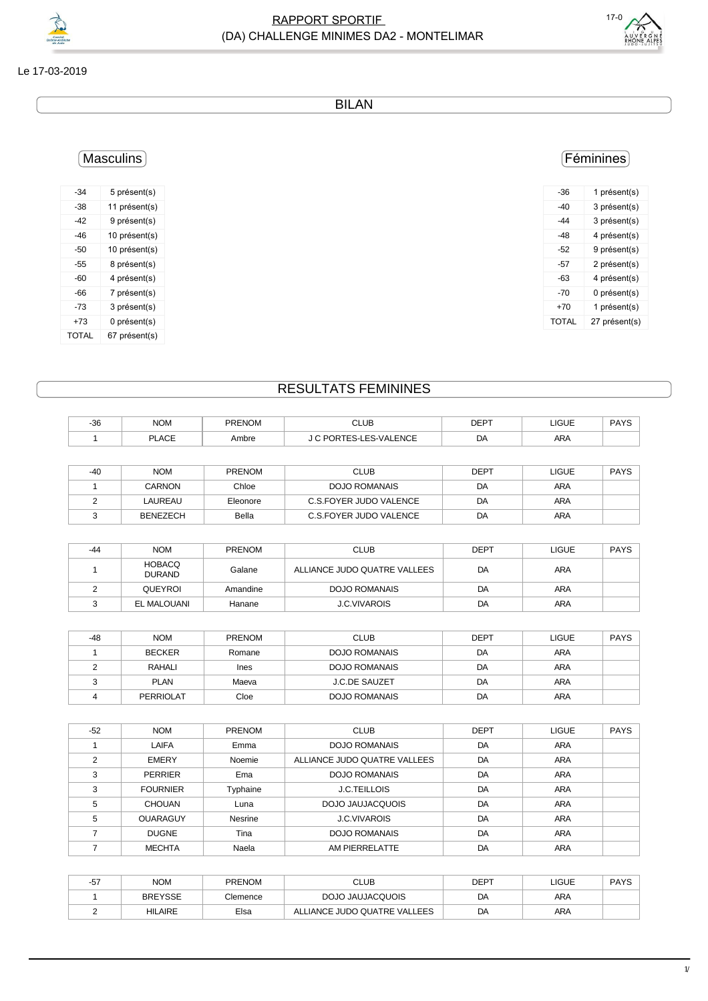

#### Le 17-03-2019

BILAN

# Masculins

| -34          | 5 présent(s)  |
|--------------|---------------|
| -38          | 11 présent(s) |
| -42          | 9 présent(s)  |
| -46          | 10 présent(s) |
| -50          | 10 présent(s) |
| -55          | 8 présent(s)  |
| -60          | 4 présent(s)  |
| -66          | 7 présent(s)  |
| -73          | 3 présent(s)  |
| +73          | 0 présent(s)  |
| <b>TOTAL</b> | 67 présent(s) |

### Féminines

| -36   | 1 présent(s)  |
|-------|---------------|
| -40   | 3 présent(s)  |
| -44   | 3 présent(s)  |
| -48   | 4 présent(s)  |
| -52   | 9 présent(s)  |
| -57   | 2 présent(s)  |
| -63   | 4 présent(s)  |
| -70   | 0 présent(s)  |
| +70   | 1 présent(s)  |
| TOTAL | 27 présent(s) |
|       |               |

## RESULTATS FEMININES

| $-36$ | <b>NOM</b>   | PRENOM | <b>CLUB</b>    | <b>DEPT</b> | <b>LIGUE</b> | PAYS |
|-------|--------------|--------|----------------|-------------|--------------|------|
|       | <b>PLACE</b> | Ambre  | ES-LES-VALENCE | DA<br>- -   | <b>ARA</b>   |      |

| -40 | <b>NOM</b> | <b>PRENOM</b> | CLUB                   | DEPT | LIGUE      | <b>PAYS</b> |
|-----|------------|---------------|------------------------|------|------------|-------------|
|     | CARNON     | Chloe         | <b>DOJO ROMANAIS</b>   | DA   | ARA        |             |
|     | LAUREAU    | Eleonore      | C.S.FOYER JUDO VALENCE | DA   | <b>ARA</b> |             |
|     | BENEZECH   | Bella         | C.S.FOYER JUDO VALENCE | DA   | ARA        |             |

| -44 | <b>NOM</b>                     | <b>PRENOM</b> | <b>CLUB</b>                  | <b>DEPT</b> | <b>LIGUE</b> | <b>PAYS</b> |
|-----|--------------------------------|---------------|------------------------------|-------------|--------------|-------------|
|     | <b>HOBACQ</b><br><b>DURAND</b> | Galane        | ALLIANCE JUDO QUATRE VALLEES | DA          | <b>ARA</b>   |             |
|     | QUEYROI                        | Amandine      | <b>DOJO ROMANAIS</b>         | DA          | <b>ARA</b>   |             |
|     | EL MALOUANI                    | Hanane        | <b>J.C.VIVAROIS</b>          | DA          | <b>ARA</b>   |             |

| $-48$ | <b>NOM</b>       | <b>PRENOM</b> | <b>CLUB</b>          | <b>DEPT</b> | LIGUE      | <b>PAYS</b> |
|-------|------------------|---------------|----------------------|-------------|------------|-------------|
|       | <b>BECKER</b>    | Romane        | <b>DOJO ROMANAIS</b> | DA          | <b>ARA</b> |             |
|       | RAHALI           | Ines          | <b>DOJO ROMANAIS</b> | DA          | <b>ARA</b> |             |
|       | <b>PLAN</b>      | Maeva         | <b>J.C.DE SAUZET</b> | DA          | <b>ARA</b> |             |
|       | <b>PERRIOLAT</b> | Cloe          | <b>DOJO ROMANAIS</b> | DA          | ARA        |             |

| $-52$          | <b>NOM</b>      | <b>PRENOM</b> | <b>CLUB</b>                  | <b>DEPT</b> | <b>LIGUE</b> | <b>PAYS</b> |
|----------------|-----------------|---------------|------------------------------|-------------|--------------|-------------|
|                | LAIFA           | Emma          | <b>DOJO ROMANAIS</b>         | DA          | <b>ARA</b>   |             |
| $\mathfrak{p}$ | <b>EMERY</b>    | Noemie        | ALLIANCE JUDO QUATRE VALLEES | DA          | <b>ARA</b>   |             |
| 3              | <b>PERRIER</b>  | Ema           | <b>DOJO ROMANAIS</b>         | DA          | <b>ARA</b>   |             |
| 3              | <b>FOURNIER</b> | Typhaine      | <b>J.C.TEILLOIS</b>          | DA          | ARA          |             |
| 5              | <b>CHOUAN</b>   | Luna          | DOJO JAUJACQUOIS             | DA          | <b>ARA</b>   |             |
| 5              | <b>OUARAGUY</b> | Nesrine       | <b>J.C.VIVAROIS</b>          | DA          | <b>ARA</b>   |             |
|                | <b>DUGNE</b>    | Tina          | <b>DOJO ROMANAIS</b>         | DA          | <b>ARA</b>   |             |
|                | <b>MECHTA</b>   | Naela         | AM PIERRELATTE               | DA          | <b>ARA</b>   |             |

| -57 | <b>NOM</b>     | <b>PRENOM</b> | CLUB                         | DEPT | LIGUE | <b>PAYS</b> |
|-----|----------------|---------------|------------------------------|------|-------|-------------|
|     | <b>BREYSSE</b> | Clemence      | DOJO JAUJACQUOIS             | DA   | ARA   |             |
|     | <b>HILAIRE</b> | Elsa          | ALLIANCE JUDO QUATRE VALLEES | DA   | ARA   |             |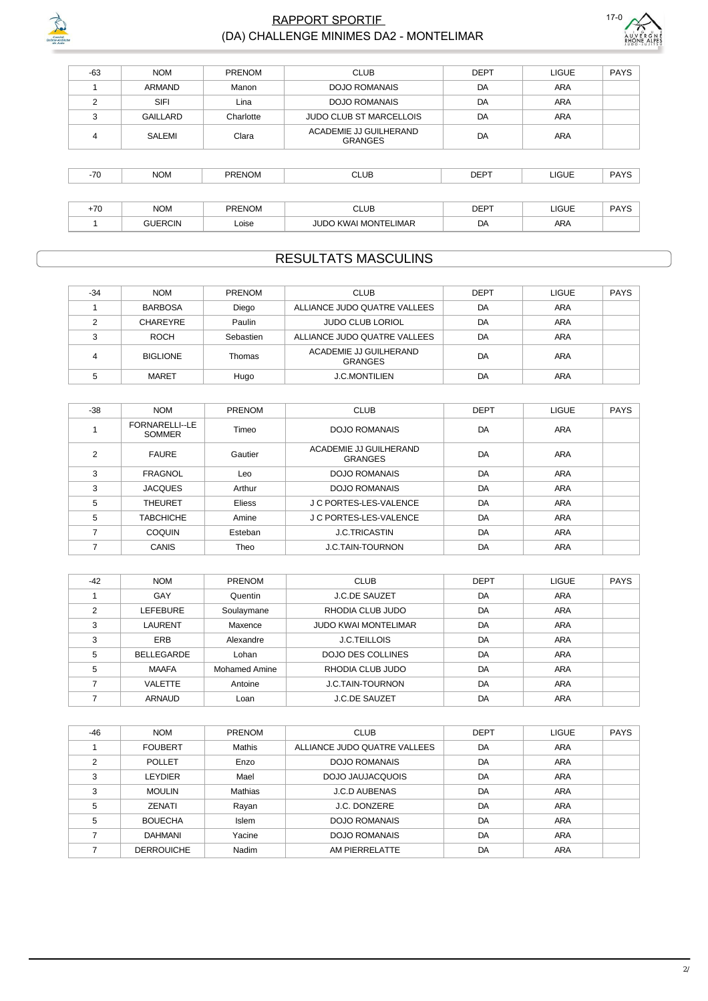

#### **RAPPORT SPORTIF** (DA) CHALLENGE MINIMES DA2 - MONTELIMAR



| $-63$ | <b>NOM</b>      | PRENOM        | <b>CLUB</b>                              | <b>DEPT</b> | LIGUE        | <b>PAYS</b> |
|-------|-----------------|---------------|------------------------------------------|-------------|--------------|-------------|
|       | <b>ARMAND</b>   | Manon         | <b>DOJO ROMANAIS</b>                     | DA          | <b>ARA</b>   |             |
| 2     | <b>SIFI</b>     | Lina          | <b>DOJO ROMANAIS</b>                     | DA          | <b>ARA</b>   |             |
| 3     | <b>GAILLARD</b> | Charlotte     | <b>JUDO CLUB ST MARCELLOIS</b>           | DA          | <b>ARA</b>   |             |
| 4     | SALEMI          | Clara         | ACADEMIE JJ GUILHERAND<br><b>GRANGES</b> | DA          | <b>ARA</b>   |             |
|       |                 |               |                                          |             |              |             |
| $-70$ | <b>NOM</b>      | PRENOM        | <b>CLUB</b>                              | <b>DEPT</b> | <b>LIGUE</b> | <b>PAYS</b> |
|       |                 |               |                                          |             |              |             |
| $+70$ | <b>NOM</b>      | <b>PRENOM</b> | <b>CLUB</b>                              | <b>DEPT</b> | <b>LIGUE</b> | <b>PAYS</b> |
|       | <b>GUERCIN</b>  | Loise         | <b>JUDO KWAI MONTELIMAR</b>              | DA          | <b>ARA</b>   |             |

## **RESULTATS MASCULINS**

| $-34$ | <b>NOM</b>      | <b>PRENOM</b> | <b>CLUB</b>                              | <b>DEPT</b> | <b>LIGUE</b> | PAYS |
|-------|-----------------|---------------|------------------------------------------|-------------|--------------|------|
|       | <b>BARBOSA</b>  | Diego         | ALLIANCE JUDO QUATRE VALLEES             | DA          | <b>ARA</b>   |      |
|       | CHAREYRE        | Paulin        | <b>JUDO CLUB LORIOL</b>                  | DA          | <b>ARA</b>   |      |
| ◠     | ROCH            | Sebastien     | ALLIANCE JUDO QUATRE VALLEES             | DA          | ARA          |      |
| 4     | <b>BIGLIONE</b> | Thomas        | ACADEMIE JJ GUILHERAND<br><b>GRANGES</b> | DA          | <b>ARA</b>   |      |
|       | <b>MARET</b>    | Hugo          | <b>J.C.MONTILIEN</b>                     | DA          | ARA          |      |

| $-38$                    | <b>NOM</b>                      | PRENOM        | <b>CLUB</b>                              | <b>DEPT</b> | <b>LIGUE</b> | <b>PAYS</b> |
|--------------------------|---------------------------------|---------------|------------------------------------------|-------------|--------------|-------------|
|                          | FORNARELLI--LE<br><b>SOMMER</b> | Timeo         | DOJO ROMANAIS                            | DA          | ARA          |             |
| $\overline{2}$           | <b>FAURE</b>                    | Gautier       | ACADEMIE JJ GUILHERAND<br><b>GRANGES</b> | DA          | ARA          |             |
| 3                        | FRAGNOL                         | Leo           | DOJO ROMANAIS                            | DA          | <b>ARA</b>   |             |
| 3                        | <b>JACQUES</b>                  | Arthur        | DOJO ROMANAIS                            | DA          | ARA          |             |
| 5                        | <b>THEURET</b>                  | <b>Eliess</b> | J C PORTES-LES-VALENCE                   | DA          | ARA          |             |
| 5                        | <b>TABCHICHE</b>                | Amine         | J C PORTES-LES-VALENCE                   | DA          | ARA          |             |
| $\overline{\phantom{a}}$ | COQUIN                          | Esteban       | <b>J.C.TRICASTIN</b>                     | DA          | ARA          |             |
| 7                        | <b>CANIS</b>                    | Theo          | <b>J.C.TAIN-TOURNON</b>                  | DA          | <b>ARA</b>   |             |

| $-42$ | <b>NOM</b>        | <b>PRENOM</b>        | <b>CLUB</b>                 | <b>DEPT</b> | <b>LIGUE</b> | <b>PAYS</b> |
|-------|-------------------|----------------------|-----------------------------|-------------|--------------|-------------|
|       | GAY               | Quentin              | <b>J.C.DE SAUZET</b>        | DA          | <b>ARA</b>   |             |
| っ     | LEFEBURE          | Soulaymane           | RHODIA CLUB JUDO            | DA          | <b>ARA</b>   |             |
| 3     | LAURENT           | Maxence              | <b>JUDO KWAI MONTELIMAR</b> | DA          | <b>ARA</b>   |             |
| 3     | <b>ERB</b>        | Alexandre            | <b>J.C.TEILLOIS</b>         | DA          | <b>ARA</b>   |             |
| 5     | <b>BELLEGARDE</b> | Lohan                | <b>DOJO DES COLLINES</b>    | DA          | <b>ARA</b>   |             |
| 5     | <b>MAAFA</b>      | <b>Mohamed Amine</b> | RHODIA CLUB JUDO            | DA          | ARA          |             |
|       | <b>VALETTE</b>    | Antoine              | <b>J.C.TAIN-TOURNON</b>     | DA          | ARA          |             |
|       | <b>ARNAUD</b>     | Loan                 | <b>J.C.DE SAUZET</b>        | DA          | <b>ARA</b>   |             |

| -46 | <b>NOM</b>        | <b>PRENOM</b>  | <b>CLUB</b>                  | <b>DEPT</b> | <b>LIGUE</b> | <b>PAYS</b> |
|-----|-------------------|----------------|------------------------------|-------------|--------------|-------------|
|     | <b>FOUBERT</b>    | Mathis         | ALLIANCE JUDO QUATRE VALLEES | DA          | ARA          |             |
| ◠   | <b>POLLET</b>     | Enzo           | <b>DOJO ROMANAIS</b>         | DA          | <b>ARA</b>   |             |
| 3   | LEYDIER           | Mael           | DOJO JAUJACQUOIS             | DA          | <b>ARA</b>   |             |
| 3   | <b>MOULIN</b>     | <b>Mathias</b> | <b>J.C.D AUBENAS</b>         | DA          | <b>ARA</b>   |             |
| 5   | ZENATI            | Rayan          | J.C. DONZERE                 | DA          | <b>ARA</b>   |             |
| 5   | <b>BOUECHA</b>    | <b>Islem</b>   | <b>DOJO ROMANAIS</b>         | DA          | ARA          |             |
|     | <b>DAHMANI</b>    | Yacine         | DOJO ROMANAIS                | DA          | ARA          |             |
|     | <b>DERROUICHE</b> | Nadim          | AM PIERRELATTE               | DA          | <b>ARA</b>   |             |